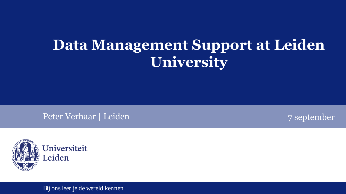# **Data Management Support at Leiden University**

Peter Verhaar | Leiden 7 september





Bij ons leer je de wereld kennen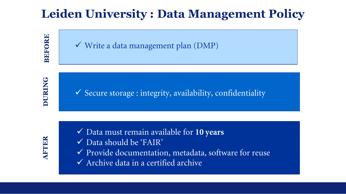## **Leiden University : Data Management Policy**

**BEFORE**

**DURING**

 $\checkmark$  Write a data management plan (DMP)

 $\checkmark$  Secure storage : integrity, availability, confidentiality

**AFTER**

- Data must remain available for **10 years**
- Data should be 'FAIR'
- Provide documentation, metadata, software for reuse
- $\checkmark$  Archive data in a certified archive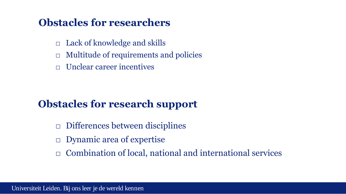#### **Obstacles for researchers**

- $\Box$  Lack of knowledge and skills
- $\Box$  Multitude of requirements and policies
- $\Box$  Unclear career incentives

### **Obstacles for research support**

- □ Differences between disciplines
- □ Dynamic area of expertise
- □ Combination of local, national and international services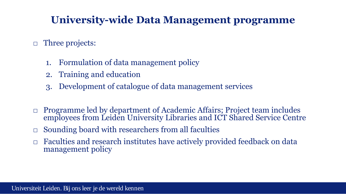### **University-wide Data Management programme**

#### □ Three projects:

- 1. Formulation of data management policy
- 2. Training and education
- 3. Development of catalogue of data management services
- □ Programme led by department of Academic Affairs; Project team includes employees from Leiden University Libraries and ICT Shared Service Centre
- $\Box$  Sounding board with researchers from all faculties
- □ Faculties and research institutes have actively provided feedback on data management policy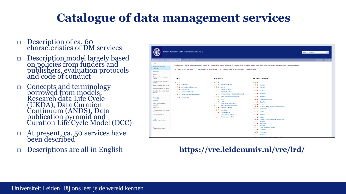## **Catalogue of data management services**

- Description of ca. 60 characteristics of DM services
- □ Description model largely based on policies from funders and publishers, evaluation protocols and code of conduct
- □ Concepts and terminology borrowed from models: Research data Life Cycle (UKDA), Data Curation Continuum (ANDS), Data publication pyramid and Curation Life Cycle Model (DCC)
- □ At present, ca. 50 services have been described
- Descriptions are all in English

| Leiden Research Data Information Sheets                                                                                                                                                                                                                                                                                    | About this website                                                                                                                                                                                                                                                                                                                                                                     |                                                                                                                                                                                                                                                                                                                                                                                                                                                                                                                                                                                                                                                                                                                                                                                                                                                                                    |                                                                                                                                                                                                                                                                                                                                                                                                                                                                                                                                                                                                                                                                                                                                                                                                                                                                                                                                      | Help desk   Manual |
|----------------------------------------------------------------------------------------------------------------------------------------------------------------------------------------------------------------------------------------------------------------------------------------------------------------------------|----------------------------------------------------------------------------------------------------------------------------------------------------------------------------------------------------------------------------------------------------------------------------------------------------------------------------------------------------------------------------------------|------------------------------------------------------------------------------------------------------------------------------------------------------------------------------------------------------------------------------------------------------------------------------------------------------------------------------------------------------------------------------------------------------------------------------------------------------------------------------------------------------------------------------------------------------------------------------------------------------------------------------------------------------------------------------------------------------------------------------------------------------------------------------------------------------------------------------------------------------------------------------------|--------------------------------------------------------------------------------------------------------------------------------------------------------------------------------------------------------------------------------------------------------------------------------------------------------------------------------------------------------------------------------------------------------------------------------------------------------------------------------------------------------------------------------------------------------------------------------------------------------------------------------------------------------------------------------------------------------------------------------------------------------------------------------------------------------------------------------------------------------------------------------------------------------------------------------------|--------------------|
| Lists<br>All information<br>sheets<br>View by                                                                                                                                                                                                                                                                              |                                                                                                                                                                                                                                                                                                                                                                                        | $\checkmark$ Meets all requirements ? Partly meets all requirements $\checkmark$ Does not meet all requirements In Not applicable                                                                                                                                                                                                                                                                                                                                                                                                                                                                                                                                                                                                                                                                                                                                                  | The services in the list below can be used before (B), during (D) and after (A) research projects. Their suitability during these three general phases is indicated using the symbols below.                                                                                                                                                                                                                                                                                                                                                                                                                                                                                                                                                                                                                                                                                                                                         |                    |
| Faculty<br>Phases in the research<br>project                                                                                                                                                                                                                                                                               | Local                                                                                                                                                                                                                                                                                                                                                                                  | <b>National</b>                                                                                                                                                                                                                                                                                                                                                                                                                                                                                                                                                                                                                                                                                                                                                                                                                                                                    | <b>International</b>                                                                                                                                                                                                                                                                                                                                                                                                                                                                                                                                                                                                                                                                                                                                                                                                                                                                                                                 |                    |
| Research data Life Cycle<br>(UKDA)<br>Data Curation Continuum<br>Data publication pyramid<br>Curation Life Cycle Model<br>(DCC)<br><b>Policies</b><br>Funders<br><b>Standard Evaluation</b><br>Protocol<br>Publishers<br>European Data Protection<br>Directive<br>Leiden University<br>Add a new sheet<br>All Site Content | <b>BDA</b><br>$\blacktriangleright$ $\blacktriangleright$ Bulkstorage<br>$\equiv$ ? $\times$ Dataopslag Cell Observatory<br>$\blacktriangleright$ $\blacktriangleright$ $\blacktriangleright$ Departments<br>$\checkmark$ = Template DMP Leiden<br>$\blacktriangleright$ $\blacktriangleright$ Virtual Research Environments<br>$\blacktriangleright$ $\blacktriangleright$ Workgroups | <b>BDA</b><br>$=$ $\checkmark$ 4TU.ResearchData<br>$=$ ? $\times$ BeeHub<br>$\blacktriangleright\blacktriangleright\blacktriangleright\blacktriangleright\blacktriangleleft$ CLARIN INL Portal<br>$\blacksquare = \checkmark$ DANS Dark Archive<br>$\blacksquare \checkmark \checkmark$ De Digitale Koepel (Meertens Instituut)<br>$\blacktriangleright$ $\blacktriangleright$ 2 Dutch Dataverse Network (DDN)<br>$\blacksquare$ $\blacktriangleright$ EASY<br>$=$ $\checkmark$ EDNA<br>Essentials 4 Data Support<br>$\checkmark$ = NWO datamanagementplan<br>$\blacktriangleright$ $\blacktriangleright$ SURF Data Archive<br>$\equiv$ <b>? ?</b> SURFdrive<br>$\blacktriangleright$ $\blacktriangleright$ SURFfilesender<br>$\blacktriangleright\checkmark\checkmark$ Surveydata Nederland<br>$\blacktriangleright \blacktriangleright \blacktriangleright$ The Language Archive | <b>BDA</b><br>$= 22$ B2DROP<br>$=$ $\times$ B2FIND<br>$= 7 \times $ B2SAFE<br>$= 7 \times $ B2SHARE<br>$=$ ? $\times$ B2STAGE<br>$\blacktriangleright$ $\blacktriangleright$ $\blacktriangleright$ Data Verse Network<br>$=$ <b>7</b> DataFirst<br>$\blacktriangleright$ $\blacktriangleright$ $\times$ DCCD<br>X X DDMoRe - Drug Disease Model Resources<br>$\checkmark$ = DMP Online<br>$= 2$<br>Drvad<br>$\equiv$ ? $\times$ Figshare<br>$\blacksquare$ $\blacksquare$ $\blacksquare$ $\blacksquare$ $\blacksquare$ $\blacksquare$ $\blacksquare$ $\blacksquare$ $\blacksquare$ $\blacksquare$ $\blacksquare$ $\blacksquare$ $\blacksquare$ $\blacksquare$<br>X X Infrared Space Observatory data archive<br>$=$ $=$ MANTRA<br>$=$ $\mathbf{x}$ MycoBank<br>$\blacktriangleright\blacktriangleright\blacktriangleright\blacktriangleright\blacktriangleright$ NESSTAR<br>$=$ $=$ Open Machinery Learning<br>$=$ $\times$ OpenfMRI |                    |

#### **https://vre.leidenuniv.nl/vre/lrd/**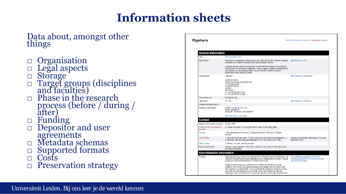### **Information sheets**

#### Data about, amongst other things

- □ Organisation
- □ Legal aspects
- □ Storage
- □ Target groups (disciplines and faculties)
- □ Phase in the research process (before / during / after)
- □ Funding
- □ Depositor and user agreements
- 
- □ Metadata schemas
- □ Supported formats
- □ Costs
- □ Preservation strategy

| <b>Figshare</b>                             |                                                                                                                                                                                                                                                                                                                                                                                        | Edit this information sheet   All information sheets                                               |  |  |  |  |  |
|---------------------------------------------|----------------------------------------------------------------------------------------------------------------------------------------------------------------------------------------------------------------------------------------------------------------------------------------------------------------------------------------------------------------------------------------|----------------------------------------------------------------------------------------------------|--|--|--|--|--|
|                                             |                                                                                                                                                                                                                                                                                                                                                                                        |                                                                                                    |  |  |  |  |  |
| <b>General information</b>                  |                                                                                                                                                                                                                                                                                                                                                                                        |                                                                                                    |  |  |  |  |  |
| URI                                         | http://figshare.com/                                                                                                                                                                                                                                                                                                                                                                   |                                                                                                    |  |  |  |  |  |
| Description                                 | Figshare is a repository where users can make all of their research outputs http://figshare.com/<br>available in a citable, shareable and discoverable manner.                                                                                                                                                                                                                         |                                                                                                    |  |  |  |  |  |
|                                             | Figshare allows users to upload any file format to be made visualisable in<br>the browser so that figures, datasets, media, papers, posters, presentations<br>and filesets can be disseminated in a way that the current scholarly<br>publishing model does not allow.                                                                                                                 |                                                                                                    |  |  |  |  |  |
| Organisation                                | Figshare                                                                                                                                                                                                                                                                                                                                                                               | http://figshare.com/contact                                                                        |  |  |  |  |  |
|                                             | <b>Digital Science</b><br>Macmillan Glasshouse Building<br>2 Trematon Walk<br><b>Wharfdale Road</b><br>London<br><b>NW19SR</b><br>(t) +44 (0) 20 7418 5573<br>(f) +44 (0) 20 7014 4180                                                                                                                                                                                                 |                                                                                                    |  |  |  |  |  |
| Type of service                             | Storage facility                                                                                                                                                                                                                                                                                                                                                                       |                                                                                                    |  |  |  |  |  |
| Legislation                                 | UK law                                                                                                                                                                                                                                                                                                                                                                                 | http://figshare.com/terms                                                                          |  |  |  |  |  |
| Usage and appreciation                      |                                                                                                                                                                                                                                                                                                                                                                                        |                                                                                                    |  |  |  |  |  |
| Support organisation                        | e-mail: info@figshare.com<br>twitter: @figshare<br>facebook: facebook.com/figshare                                                                                                                                                                                                                                                                                                     |                                                                                                    |  |  |  |  |  |
|                                             | http://figshare.com/contact                                                                                                                                                                                                                                                                                                                                                            |                                                                                                    |  |  |  |  |  |
| <b>Context</b>                              |                                                                                                                                                                                                                                                                                                                                                                                        |                                                                                                    |  |  |  |  |  |
| Stage in the research project During, After |                                                                                                                                                                                                                                                                                                                                                                                        |                                                                                                    |  |  |  |  |  |
| Postion within the research<br>process      | 4. Preserving data, 5. Giving access to data, 6. Re-using data                                                                                                                                                                                                                                                                                                                         |                                                                                                    |  |  |  |  |  |
| Domain                                      | 1. Private Research Domain, 3. Shared Research Domain, 5. Public<br>Domain                                                                                                                                                                                                                                                                                                             |                                                                                                    |  |  |  |  |  |
| Type of data                                | 1. Raw data and data sets. 2. Data collections and structured databases. 3.<br>Processed data and data representations, 4. Publications with data                                                                                                                                                                                                                                      | Figshare cooperates with nature, Plos and<br>Taylor&Francis                                        |  |  |  |  |  |
| Data curation                               | 5. Store, 6. Acces, use and re-use                                                                                                                                                                                                                                                                                                                                                     |                                                                                                    |  |  |  |  |  |
| Data classification                         | Klasse 3 voor openbare informatie. Klasse 2 voor interne informatie [voor<br>een beperkte groep]                                                                                                                                                                                                                                                                                       |                                                                                                    |  |  |  |  |  |
| <b>Administrative information</b>           |                                                                                                                                                                                                                                                                                                                                                                                        |                                                                                                    |  |  |  |  |  |
| Fundina                                     | Flashare LLP has received investment from Digital Science, figshare is not<br>owned by Digital Science and operates as an independent company. Digital<br>Science is part of the Holtzbrinck Publishing Group.                                                                                                                                                                         | https://figshare.zendesk.com/hc/en-<br>us/articles/201954013-Who-we-are-and-<br>how-we-are-funded- |  |  |  |  |  |
|                                             | Digital Science has also acted as an incubator for figshare since its<br>inception, providing invaluable business and stategic advice, particularly<br>with regards to sustainability. Our sustainability model involves providing<br>services for publishers such as PLOS, Wiley and Nature, as well as<br>Institutions such as Stockholm University and the University of Melbourne. |                                                                                                    |  |  |  |  |  |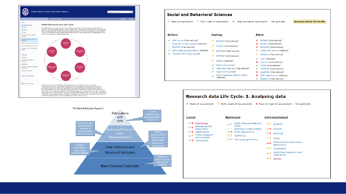





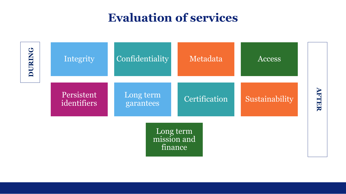### **Evaluation of services**

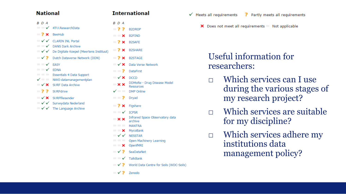#### **National**

| BD A                       |                                                                                                                                        | BD A                              |                |
|----------------------------|----------------------------------------------------------------------------------------------------------------------------------------|-----------------------------------|----------------|
|                            | $\blacksquare$ $\blacktriangleright$ 4TU.ResearchData                                                                                  | - 7 7                             | B2             |
| $\equiv$ ? $\times$ BeeHub |                                                                                                                                        | $\mathbf{X}$                      | B <sub>2</sub> |
|                            | $\blacktriangleright\checkmark\checkmark$ CLARIN INL Portal                                                                            | $-7x$                             | B <sub>2</sub> |
|                            | $\blacksquare$ $\blacktriangleright$ DANS Dark Archive<br>$\blacksquare \checkmark \checkmark$ De Digitale Koepel (Meertens Instituut) | - ? ×                             | B <sub>2</sub> |
|                            | $\blacktriangleright$ $\blacktriangleright$ Dutch Dataverse Network (DDN)                                                              | $-7x$                             | B <sub>2</sub> |
| $\overline{\phantom{a}}$   | <b>FASY</b>                                                                                                                            | $\mathbb{R} \times \mathbb{R}$    | Da             |
| $\sim$ $\sim$              | <b>EDNA</b>                                                                                                                            | $-2$                              | Da             |
|                            | Essentials 4 Data Support<br>$\checkmark$ = NWO datamanagementplan                                                                     | $\mathbb{R} \times \mathbb{R}$    | D <sub>(</sub> |
|                            |                                                                                                                                        | $\mathbf{x} \times$               | DI<br>Re       |
| - 7 7                      | SURFdrive                                                                                                                              | $\checkmark$ and the $\checkmark$ | DI             |
|                            | $\blacktriangleright$ SURFfilesender                                                                                                   | $-7$                              | Dr             |
|                            | ■ √ √ Surveydata Nederland<br>$\blacksquare \checkmark \checkmark$ The Language Archive                                                | $-2x$                             | Fi(            |
|                            |                                                                                                                                        | $\sim$                            | IC<br>Tn       |
|                            |                                                                                                                                        |                                   |                |

**2DROP 2FIND** 2SAFE 2SHARE 2STAGE ata Verse Network ataFirst CCD DMoRe - Drug Disease Model esources **MP** Online ryad ashare **PSR** Infrared Space Observatory data  $\mathbf{x} \times$ archive **MANTRA**  $\blacksquare$   $\blacksquare$   $\times$  MycoBank  $\blacksquare \checkmark \checkmark$  NESSTAR Open Machinery Learning  $\blacksquare$   $\blacksquare$   $\blacksquare$   $\blacksquare$   $\blacksquare$   $\blacksquare$   $\blacksquare$   $\blacksquare$   $\blacksquare$   $\blacksquare$   $\blacksquare$   $\blacksquare$   $\blacksquare$   $\blacksquare$  $\blacktriangleright$   $\blacktriangleright$  SeaDataNet  $\blacksquare$   $\blacktriangleright$  TalkBank  $\blacksquare$   $\checkmark$  ? World Data Centre for Soils (WDC-Soils)  $\blacktriangleright$   $\blacktriangleright$  2 Zenodo

**International** 

- $\checkmark$  Meets all requirements P Partly meets all requirements
	- X Does not meet all requirements Not applicable

#### Useful information for researchers:

- □ Which services can I use during the various stages of my research project?
- □ Which services are suitable for my discipline?
- □ Which services adhere my institutions data management policy?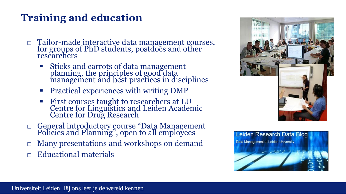### **Training and education**

- □ Tailor-made interactive data management courses, for groups of PhD students, postdocs and other researchers
	- Sticks and carrots of data management planning, the principles of good data management and best practices in disciplines
	- Practical experiences with writing DMP
	- **First courses taught to researchers at LU** Centre for Linguistics and Leiden Academic Centre for Drug Research
- □ General introductory course "Data Management Policies and Planning", open to all employees
- Many presentations and workshops on demand
- □ Educational materials



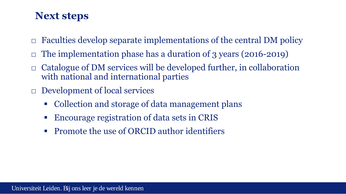#### **Next steps**

- $\Box$  Faculties develop separate implementations of the central DM policy
- The implementation phase has a duration of 3 years (2016-2019)
- Catalogue of DM services will be developed further, in collaboration with national and international parties
- □ Development of local services
	- Collection and storage of data management plans
	- Encourage registration of data sets in CRIS
	- **Promote the use of ORCID author identifiers**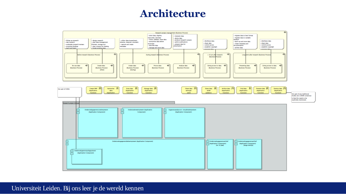#### **Architecture**



#### Universiteit Leiden. Bij ons leer je de wereld kennen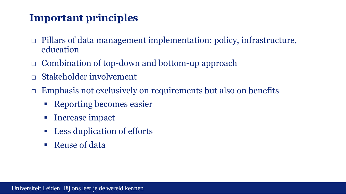### **Important principles**

- $\Box$  Pillars of data management implementation: policy, infrastructure, education
- □ Combination of top-down and bottom-up approach
- Stakeholder involvement
- $\Box$  Emphasis not exclusively on requirements but also on benefits
	- Reporting becomes easier
	- **Increase impact**
	- Less duplication of efforts
	- Reuse of data